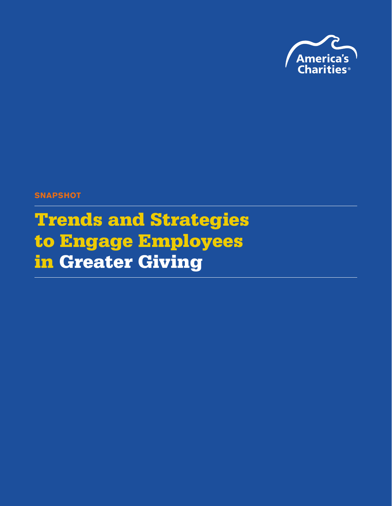

**SNAPSHOT** 

Trends and Strategies to Engage Employees in Greater Giving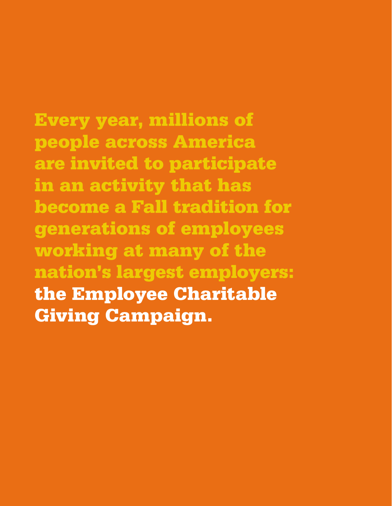Every year, millions of people across America are invited to participate in an activity that has become a Fall tradition for generations of employees working at many of the nation's largest employers: the Employee Charitable Giving Campaign.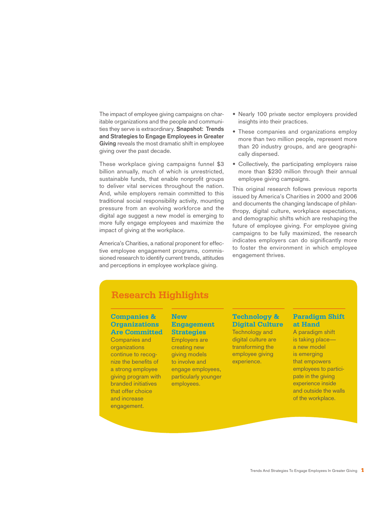The impact of employee giving campaigns on charitable organizations and the people and communities they serve is extraordinary. **Snapshot: Trends and Strategies to Engage Employees in Greater Giving** reveals the most dramatic shift in employee giving over the past decade.

These workplace giving campaigns funnel \$3 billion annually, much of which is unrestricted, sustainable funds, that enable nonprofit groups to deliver vital services throughout the nation. And, while employers remain committed to this traditional social responsibility activity, mounting pressure from an evolving workforce and the digital age suggest a new model is emerging to more fully engage employees and maximize the impact of giving at the workplace.

America's Charities, a national proponent for effective employee engagement programs, commissioned research to identify current trends, attitudes and perceptions in employee workplace giving.

- Nearly 100 private sector employers provided insights into their practices.
- These companies and organizations employ more than two million people, represent more than 20 industry groups, and are geographically dispersed.
- Collectively, the participating employers raise more than \$230 million through their annual employee giving campaigns.

This original research follows previous reports issued by America's Charities in 2000 and 2006 and documents the changing landscape of philanthropy, digital culture, workplace expectations, and demographic shifts which are reshaping the future of employee giving. For employee giving campaigns to be fully maximized, the research indicates employers can do significantly more to foster the environment in which employee engagement thrives.

# **Research Highlights**

#### **Companies & Organizations Are Committed**

Companies and organizations continue to recognize the benefits of a strong employee giving program with branded initiatives that offer choice and increase engagement.

#### **New Engagement Strategies** Employers are

creating new giving models to involve and engage employees, particularly younger employees.

#### **Technology & Digital Culture**

Technology and digital culture are transforming the employee giving experience.

#### **Paradigm Shift at Hand**

A paradigm shift is taking place a new model is emerging that empowers employees to participate in the giving experience inside and outside the walls of the workplace.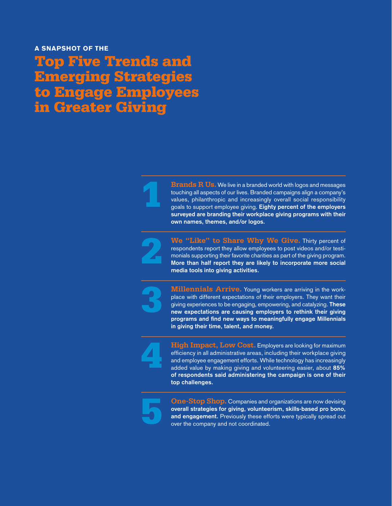# Top Five Trends and Emerging Strategies to Engage Employees in Greater Giving



**Brands R Us.** We live in a branded world with logos and messages touching all aspects of our lives. Branded campaigns align a company's values, philanthropic and increasingly overall social responsibility goals to support employee giving. **Eighty percent of the employers surveyed are branding their workplace giving programs with their own names, themes, and/or logos.**



**We "Like" to Share Why We Give.** Thirty percent of respondents report they allow employees to post videos and/or testimonials supporting their favorite charities as part of the giving program. **More than half report they are likely to incorporate more social media tools into giving activities.** 



**Millennials Arrive.** Young workers are arriving in the workplace with different expectations of their employers. They want their giving experiences to be engaging, empowering, and catalyzing. **These new expectations are causing employers to rethink their giving programs and find new ways to meaningfully engage Millennials in giving their time, talent, and money.** 



**High Impact, Low Cost.** Employers are looking for maximum efficiency in all administrative areas, including their workplace giving and employee engagement efforts. While technology has increasingly added value by making giving and volunteering easier, about **85% of respondents said administering the campaign is one of their top challenges.**



**One-Stop Shop.** Companies and organizations are now devising **overall strategies for giving, volunteerism, skills-based pro bono, and engagement.** Previously these efforts were typically spread out over the company and not coordinated.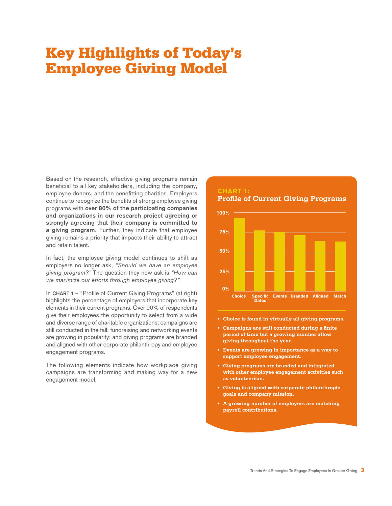# Key Highlights of Today's Employee Giving Model

Based on the research, effective giving programs remain beneficial to all key stakeholders, including the company, employee donors, and the benefitting charities. Employers continue to recognize the benefits of strong employee giving programs with **over 80% of the participating companies and organizations in our research project agreeing or strongly agreeing that their company is committed to a giving program.** Further, they indicate that employee giving remains a priority that impacts their ability to attract and retain talent.

In fact, the employee giving model continues to shift as employers no longer ask, "Should we have an employee giving program?" The question they now ask is "How can we maximize our efforts through employee giving?"

In **CHART 1** – "Profile of Current Giving Programs" (at right) highlights the percentage of employers that incorporate key elements in their current programs. Over 90% of respondents give their employees the opportunity to select from a wide and diverse range of charitable organizations; campaigns are still conducted in the fall; fundraising and networking events are growing in popularity; and giving programs are branded and aligned with other corporate philanthropy and employee engagement programs.

The following elements indicate how workplace giving campaigns are transforming and making way for a new engagement model.



- **• Choice is found in virtually all giving programs.**
- **• Campaigns are still conducted during a finite period of time but a growing number allow giving throughout the year.**
- **• Events are growing in importance as a way to support employee engagement.**
- **• Giving programs are branded and integrated with other employee engagement activities such as volunteerism.**
- **• Giving is aligned with corporate philanthropic goals and company mission.**
- **• A growing number of employers are matching payroll contributions.**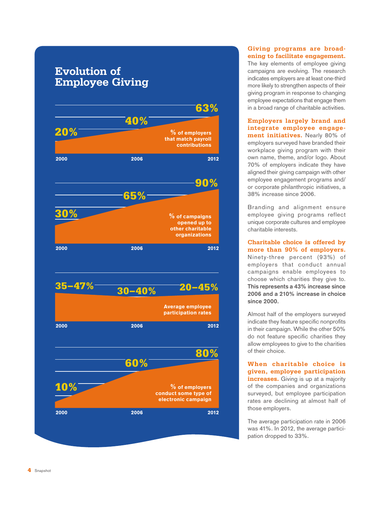# **Evolution of Employee Giving**



#### **Giving programs are broadening to facilitate engagement.**

The key elements of employee giving campaigns are evolving. The research indicates employers are at least one-third more likely to strengthen aspects of their giving program in response to changing employee expectations that engage them in a broad range of charitable activities.

**Employers largely brand and integrate employee engagement initiatives.** Nearly 80% of employers surveyed have branded their workplace giving program with their own name, theme, and/or logo. About 70% of employers indicate they have aligned their giving campaign with other employee engagement programs and/ or corporate philanthropic initiatives, a 38% increase since 2006.

Branding and alignment ensure employee giving programs reflect unique corporate cultures and employee charitable interests.

**Charitable choice is offered by more than 90% of employers.** Ninety-three percent (93%) of employers that conduct annual campaigns enable employees to choose which charities they give to. **This represents a 43% increase since 2006 and a 210% increase in choice since 2000.** 

Almost half of the employers surveyed indicate they feature specific nonprofits in their campaign. While the other 50% do not feature specific charities they allow employees to give to the charities of their choice.

**When charitable choice is given, employee participation increases.** Giving is up at a majority of the companies and organizations surveyed, but employee participation rates are declining at almost half of those employers.

The average participation rate in 2006 was 41%. In 2012, the average participation dropped to 33%.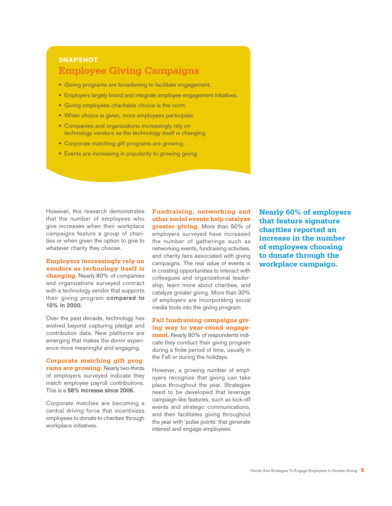# **SNAPSHOT Employee Giving Campaigns**

- Giving programs are broadening to facilitate engagement.
- Employers largely brand and integrate employee engagement initiatives.
- Giving employees charitable choice is the norm.
- When choice is given, more employees participate.
- Companies and organizations increasingly rely on technology vendors as the technology itself is changing.
- Corporate matching gift programs are growing.
- Events are increasing in popularity to growing giving.

However, this research demonstrates that the number of employees who give increases when their workplace campaigns feature a group of charities or when given the option to give to whatever charity they choose.

**Employers increasingly rely on vendors as technology itself is changing.** Nearly 80% of companies and organizations surveyed contract with a technology vendor that supports their giving program **compared to 10% in 2000.** 

Over the past decade, technology has evolved beyond capturing pledge and contribution data. New platforms are emerging that makes the donor experience more meaningful and engaging.

**Corporate matching gift programs are growing.** Nearly two-thirds of employers surveyed indicate they match employee payroll contributions. This is a **58% increase since 2006.** 

Corporate matches are becoming a central driving force that incentivizes employees to donate to charities through workplace initiatives.

**Fundraising, networking and other social events help catalyze greater giving.** More than 50% of employers surveyed have increased the number of gatherings such as networking events, fundraising activities, and charity fairs associated with giving campaigns. The real value of events is in creating opportunities to interact with colleagues and organizational leadership, learn more about charities, and catalyze greater giving. More than 30% of employers are incorporating social media tools into the giving program.

**Fall fundraising campaigns giving way to year-round engagement.** Nearly 80% of respondents indicate they conduct their giving program during a finite period of time, usually in the Fall or during the holidays.

However, a growing number of employers recognize that giving can take place throughout the year. Strategies need to be developed that leverage campaign-like features, such as kick-off events and strategic communications, and then facilitates giving throughout the year with 'pulse points' that generate interest and engage employees.

**Nearly 60% of employers that feature signature charities reported an increase in the number of employees choosing to donate through the workplace campaign.**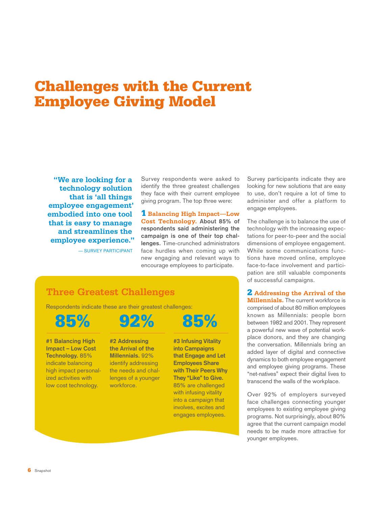# Challenges with the Current Employee Giving Model

**"We are looking for a technology solution that is 'all things employee engagement' embodied into one tool that is easy to manage and streamlines the employee experience."**

— SURVEY PARTICIPANT

Survey respondents were asked to identify the three greatest challenges they face with their current employee giving program. The top three were:

1 **Balancing High Impact—Low Cost Technology. About 85% of respondents said administering the campaign is one of their top challenges.** Time-crunched administrators face hurdles when coming up with new engaging and relevant ways to encourage employees to participate.

Survey participants indicate they are looking for new solutions that are easy to use, don't require a lot of time to administer and offer a platform to engage employees.

The challenge is to balance the use of technology with the increasing expectations for peer-to-peer and the social dimensions of employee engagement. While some communications functions have moved online, employee face-to-face involvement and participation are still valuable components of successful campaigns.

2 **Addressing the Arrival of the Millennials.** The current workforce is comprised of about 80 million employees known as Millennials: people born between 1982 and 2001. They represent a powerful new wave of potential workplace donors, and they are changing the conversation. Millennials bring an added layer of digital and connective dynamics to both employee engagement and employee giving programs. These "net-natives" expect their digital lives to transcend the walls of the workplace.

Over 92% of employers surveyed face challenges connecting younger employees to existing employee giving programs. Not surprisingly, about 80% agree that the current campaign model needs to be made more attractive for younger employees.

# **Three Greatest Challenges**

Respondents indicate these are their greatest challenges:



**#1 Balancing High Impact – Low Cost Technology.** 85% indicate balancing high impact personalized activities with low cost technology. workforce.

**#2 Addressing the Arrival of the Millennials.** 92% identify addressing the needs and challenges of a younger

**into Campaigns that Engage and Let Employees Share with Their Peers Why They "Like" to Give.**  85% are challenged with infusing vitality into a campaign that involves, excites and engages employees.

**#3 Infusing Vitality** 

**6** Snapshot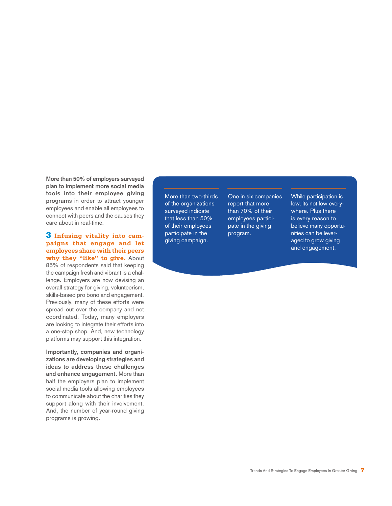**More than 50% of employers surveyed plan to implement more social media tools into their employee giving program**s in order to attract younger employees and enable all employees to connect with peers and the causes they care about in real-time.

3 **Infusing vitality into campaigns that engage and let employees share with their peers**  why they "like" to give. About 85% of respondents said that keeping the campaign fresh and vibrant is a challenge. Employers are now devising an overall strategy for giving, volunteerism, skills-based pro bono and engagement. Previously, many of these efforts were spread out over the company and not coordinated. Today, many employers are looking to integrate their efforts into a one-stop shop. And, new technology platforms may support this integration.

**Importantly, companies and organizations are developing strategies and ideas to address these challenges and enhance engagement.** More than half the employers plan to implement social media tools allowing employees to communicate about the charities they support along with their involvement. And, the number of year-round giving programs is growing.

More than two-thirds of the organizations surveyed indicate that less than 50% of their employees participate in the giving campaign.

One in six companies report that more than 70% of their employees participate in the giving program.

While participation is low, its not low everywhere. Plus there is every reason to believe many opportunities can be leveraged to grow giving and engagement.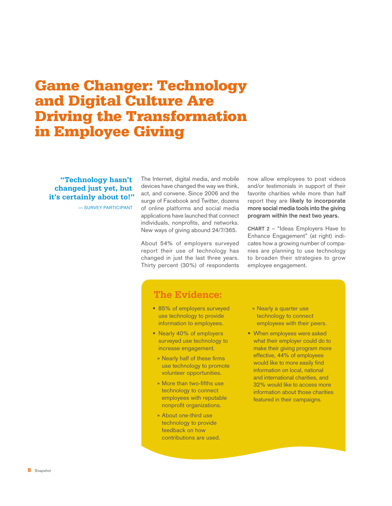# Game Changer: Technology and Digital Culture Are Driving the Transformation in Employee Giving

**"Technology hasn't changed just yet, but it's certainly about to!"** 

— SURVEY PARTICIPANT

The Internet, digital media, and mobile devices have changed the way we think, act, and convene. Since 2006 and the surge of Facebook and Twitter, dozens of online platforms and social media applications have launched that connect individuals, nonprofits, and networks. New ways of giving abound 24/7/365.

About 54% of employers surveyed report their use of technology has changed in just the last three years. Thirty percent (30%) of respondents now allow employees to post videos and/or testimonials in support of their favorite charities while more than half report they are **likely to incorporate more social media tools into the giving program within the next two years.** 

**CHART 2** – "Ideas Employers Have to Enhance Engagement" (at right) indicates how a growing number of companies are planning to use technology to broaden their strategies to grow employee engagement.

## **The Evidence:**

- 85% of employers surveyed use technology to provide information to employees.
- Nearly 40% of employers surveyed use technology to increase engagement.
	- **»** Nearly half of these firms use technology to promote volunteer opportunities.
- **»** More than two-fifths use technology to connect employees with reputable nonprofit organizations.
- **»** About one-third use technology to provide feedback on how contributions are used.
- **»** Nearly a quarter use technology to connect employees with their peers.
- When employees were asked what their employer could do to make their giving program more effective, 44% of employees would like to more easily find information on local, national and international charities, and 32% would like to access more information about those charities featured in their campaigns.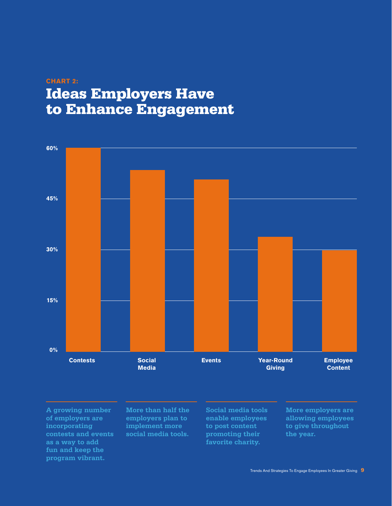# CHART 2: Ideas Employers Have to Enhance Engagement



**A growing number of employers are incorporating contests and events fun and keep the program vibrant.** 

**More than half the employers plan to implement more social media tools.** 

**Social media tools enable employees to post content promoting their favorite charity.**

**More employers are allowing employees to give throughout the year.**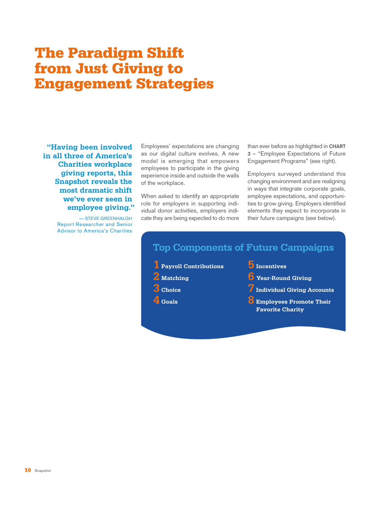# The Paradigm Shift from Just Giving to Engagement Strategies

**"Having been involved in all three of America's Charities workplace giving reports, this Snapshot reveals the most dramatic shift we've ever seen in employee giving."** 

> — STEVE GREENHALGH Report Researcher and Senior Advisor to America's Charities

Employees' expectations are changing as our digital culture evolves. A new model is emerging that empowers employees to participate in the giving experience inside and outside the walls of the workplace.

When asked to identify an appropriate role for employers in supporting individual donor activities, employers indicate they are being expected to do more

than ever before as highlighted in **CHART 3** – "Employee Expectations of Future Engagement Programs" (see right).

Employers surveyed understand this changing environment and are realigning in ways that integrate corporate goals, employee expectations, and opportunities to grow giving. Employers identified elements they expect to incorporate in their future campaigns (see below).

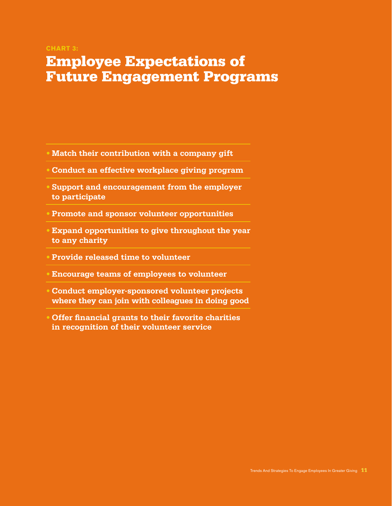#### CHART 3:

# Employee Expectations of Future Engagement Programs

- **• Match their contribution with a company gift**
- **• Conduct an effective workplace giving program**
- **• Support and encouragement from the employer to participate**
- **• Promote and sponsor volunteer opportunities**
- **• Expand opportunities to give throughout the year to any charity**
- **• Provide released time to volunteer**
- **• Encourage teams of employees to volunteer**
- **• Conduct employer-sponsored volunteer projects where they can join with colleagues in doing good**
- **• Offer financial grants to their favorite charities in recognition of their volunteer service**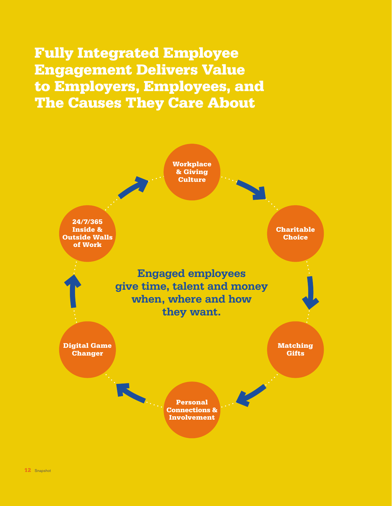Fully Integrated Employee Engagement Delivers Value to Employers, Employees, and The Causes They Care About

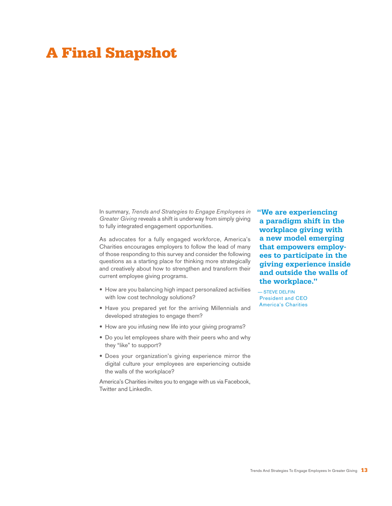# A Final Snapshot

In summary, Trends and Strategies to Engage Employees in Greater Giving reveals a shift is underway from simply giving to fully integrated engagement opportunities.

As advocates for a fully engaged workforce, America's Charities encourages employers to follow the lead of many of those responding to this survey and consider the following questions as a starting place for thinking more strategically and creatively about how to strengthen and transform their current employee giving programs.

- How are you balancing high impact personalized activities with low cost technology solutions?
- Have you prepared yet for the arriving Millennials and developed strategies to engage them?
- How are you infusing new life into your giving programs?
- Do you let employees share with their peers who and why they "like" to support?
- Does your organization's giving experience mirror the digital culture your employees are experiencing outside the walls of the workplace?

America's Charities invites you to engage with us via Facebook, Twitter and LinkedIn.

**"We are experiencing a paradigm shift in the workplace giving with a new model emerging that empowers employees to participate in the giving experience inside and outside the walls of the workplace."**

— STEVE DELFIN President and CEO America's Charities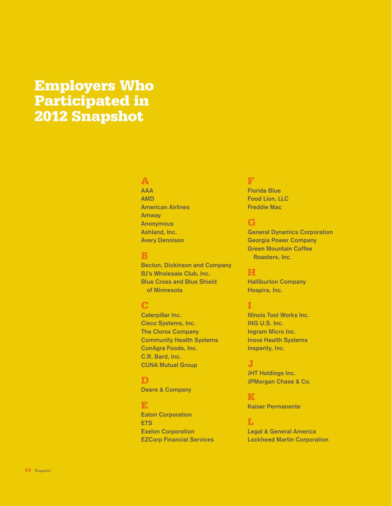# Employers Who Participated in 2012 Snapshot

### A

**AAA AMD American Airlines Amway Anonymous Ashland, Inc. Avery Dennison**

#### B

**Becton, Dickinson and Company BJ's Wholesale Club, Inc. Blue Cross and Blue Shield of Minnesota**

# C

**Caterpillar Inc. Cisco Systems, Inc. The Clorox Company Community Health Systems ConAgra Foods, Inc. C.R. Bard, Inc. CUNA Mutual Group**

### D

**Deere & Company**

### E

**Eaton Corporation ETS Exelon Corporation EZCorp Financial Services**

### F

**Florida Blue Food Lion, LLC Freddie Mac**

# G

**General Dynamics Corporation Georgia Power Company Green Mountain Coffee Roasters, Inc.** 

## H

**Halliburton Company Hospira, Inc.** 

### I

**Illinois Tool Works Inc. ING U.S. Inc. Ingram Micro Inc. Inova Health Systems Insperity, Inc.** 

### J

**JHT Holdings Inc. JPMorgan Chase & Co.** 

#### K **Kaiser Permanente**

#### L

**Legal & General America Lockheed Martin Corporation**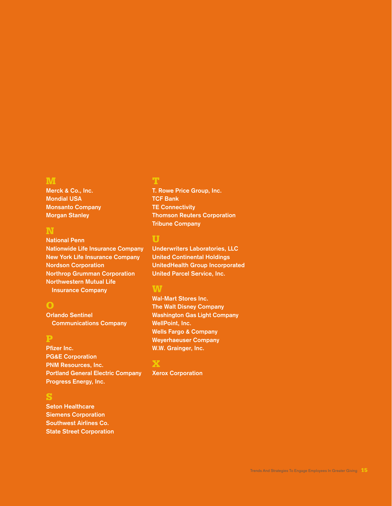### **M**

**Merck & Co., Inc. Mondial USA Monsanto Company Morgan Stanley** 

#### N

**National Penn Nationwide Life Insurance Company New York Life Insurance Company Nordson Corporation Northrop Grumman Corporation Northwestern Mutual Life Insurance Company**

### O

**Orlando Sentinel Communications Company**

# P

**Pfizer Inc. PG&E Corporation PNM Resources, Inc. Portland General Electric Company Progress Energy, Inc.** 

# S

**Seton Healthcare Siemens Corporation Southwest Airlines Co. State Street Corporation**

**T. Rowe Price Group, Inc. TCF Bank TE Connectivity Thomson Reuters Corporation Tribune Company**

### U

**Underwriters Laboratories, LLC United Continental Holdings UnitedHealth Group Incorporated United Parcel Service, Inc.** 

### **W**

**Wal-Mart Stores Inc. The Walt Disney Company Washington Gas Light Company WellPoint, Inc. Wells Fargo & Company Weyerhaeuser Company W.W. Grainger, Inc.** 

# X

**Xerox Corporation**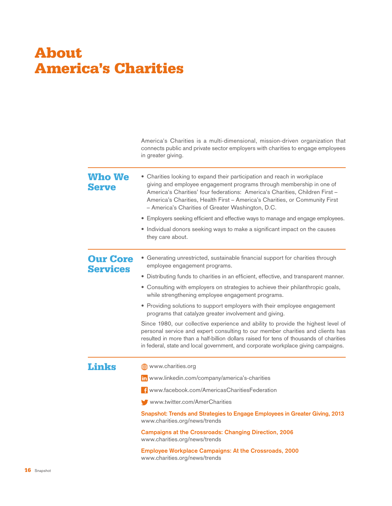# About America's Charities

|                                    | America's Charities is a multi-dimensional, mission-driven organization that<br>connects public and private sector employers with charities to engage employees<br>in greater giving.                                                                                                                                                                                |
|------------------------------------|----------------------------------------------------------------------------------------------------------------------------------------------------------------------------------------------------------------------------------------------------------------------------------------------------------------------------------------------------------------------|
| <b>Who We</b><br><b>Serve</b>      | • Charities looking to expand their participation and reach in workplace<br>giving and employee engagement programs through membership in one of<br>America's Charities' four federations: America's Charities, Children First -<br>America's Charities, Health First - America's Charities, or Community First<br>- America's Charities of Greater Washington, D.C. |
|                                    | • Employers seeking efficient and effective ways to manage and engage employees.                                                                                                                                                                                                                                                                                     |
|                                    | • Individual donors seeking ways to make a significant impact on the causes<br>they care about.                                                                                                                                                                                                                                                                      |
| <b>Our Core</b><br><b>Services</b> | • Generating unrestricted, sustainable financial support for charities through<br>employee engagement programs.                                                                                                                                                                                                                                                      |
|                                    | • Distributing funds to charities in an efficient, effective, and transparent manner.                                                                                                                                                                                                                                                                                |
|                                    | • Consulting with employers on strategies to achieve their philanthropic goals,<br>while strengthening employee engagement programs.                                                                                                                                                                                                                                 |
|                                    | • Providing solutions to support employers with their employee engagement<br>programs that catalyze greater involvement and giving.                                                                                                                                                                                                                                  |
|                                    | Since 1980, our collective experience and ability to provide the highest level of<br>personal service and expert consulting to our member charities and clients has<br>resulted in more than a half-billion dollars raised for tens of thousands of charities<br>in federal, state and local government, and corporate workplace giving campaigns.                   |
| <b>Links</b>                       | www.charities.org                                                                                                                                                                                                                                                                                                                                                    |
|                                    | in www.linkedin.com/company/america's-charities                                                                                                                                                                                                                                                                                                                      |
|                                    | <b>Example:</b> www.facebook.com/AmericasCharitiesFederation                                                                                                                                                                                                                                                                                                         |
|                                    | www.twitter.com/AmerCharities                                                                                                                                                                                                                                                                                                                                        |
|                                    | Snapshot: Trends and Strategies to Engage Employees in Greater Giving, 2013<br>www.charities.org/news/trends                                                                                                                                                                                                                                                         |
|                                    | <b>Campaigns at the Crossroads: Changing Direction, 2006</b><br>www.charities.org/news/trends                                                                                                                                                                                                                                                                        |
|                                    | <b>Employee Workplace Campaigns: At the Crossroads, 2000</b><br>www.charities.org/news/trends                                                                                                                                                                                                                                                                        |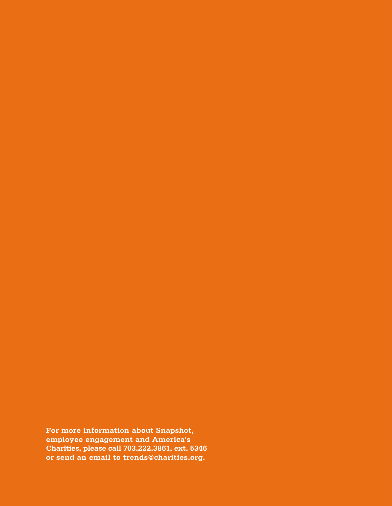**For more information about Snapshot, employee engagement and America's Charities, please call 703.222.3861, ext. 5346 or send an email to trends@charities.org.**